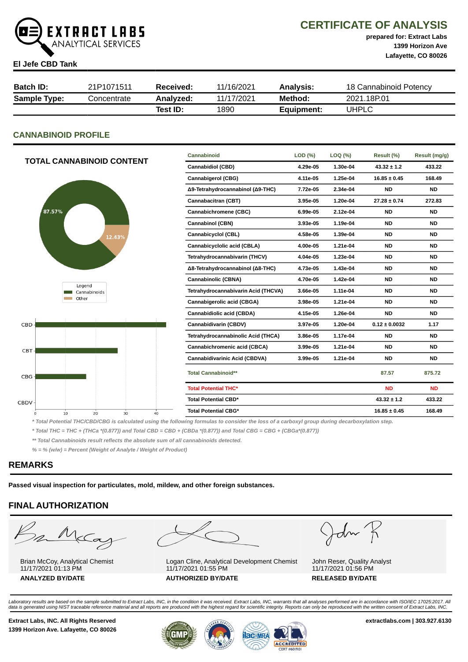

# CERTIFICATE OF ANALYSIS

prepared for: Extract Labs 1399 Horizon Ave Lafayette, CO 80026

#### El Jefe CBD Tank

| <b>Batch ID:</b>    | 21P1071511  | Received: | 11/16/2021 | Analysis:  | 18 Cannabinoid Potency |
|---------------------|-------------|-----------|------------|------------|------------------------|
| <b>Sample Type:</b> | Concentrate | Analvzed: | 11/17/2021 | Method:    | 2021.18P.01            |
|                     |             | Test ID:  | 1890       | Equipment: | UHPLC                  |

# CANNABINOID PROFILE

| <b>TOTAL CANNABINOID CONTENT</b> | Cannabinoid                          | LOD (%)  | $LOQ$ (%) | Result (%)        | Result (mg/g) |
|----------------------------------|--------------------------------------|----------|-----------|-------------------|---------------|
|                                  | <b>Cannabidiol (CBD)</b>             | 4.29e-05 | 1.30e-04  | $43.32 \pm 1.2$   | 433.22        |
|                                  | <b>Cannabigerol (CBG)</b>            | 4.11e-05 | 1.25e-04  | $16.85 \pm 0.45$  | 168.49        |
|                                  | Δ9-Tetrahydrocannabinol (Δ9-THC)     | 7.72e-05 | 2.34e-04  | <b>ND</b>         | <b>ND</b>     |
|                                  | Cannabacitran (CBT)                  | 3.95e-05 | 1.20e-04  | $27.28 \pm 0.74$  | 272.83        |
| 87.57%                           | Cannabichromene (CBC)                | 6.99e-05 | 2.12e-04  | <b>ND</b>         | <b>ND</b>     |
|                                  | <b>Cannabinol (CBN)</b>              | 3.93e-05 | 1.19e-04  | <b>ND</b>         | <b>ND</b>     |
| 12.43%                           | Cannabicyclol (CBL)                  | 4.58e-05 | 1.39e-04  | <b>ND</b>         | <b>ND</b>     |
|                                  | Cannabicyclolic acid (CBLA)          | 4.00e-05 | 1.21e-04  | <b>ND</b>         | <b>ND</b>     |
|                                  | Tetrahydrocannabivarin (THCV)        | 4.04e-05 | 1.23e-04  | <b>ND</b>         | <b>ND</b>     |
|                                  | Δ8-Tetrahydrocannabinol (Δ8-THC)     | 4.73e-05 | 1.43e-04  | <b>ND</b>         | <b>ND</b>     |
|                                  | <b>Cannabinolic (CBNA)</b>           | 4.70e-05 | 1.42e-04  | <b>ND</b>         | <b>ND</b>     |
| Legend<br>Cannabinoids           | Tetrahydrocannabivarin Acid (THCVA)  | 3.66e-05 | 1.11e-04  | <b>ND</b>         | <b>ND</b>     |
| Other                            | Cannabigerolic acid (CBGA)           | 3.98e-05 | 1.21e-04  | <b>ND</b>         | <b>ND</b>     |
|                                  | Cannabidiolic acid (CBDA)            | 4.15e-05 | 1.26e-04  | <b>ND</b>         | <b>ND</b>     |
| $CBD -$                          | Cannabidivarin (CBDV)                | 3.97e-05 | 1.20e-04  | $0.12 \pm 0.0032$ | 1.17          |
|                                  | Tetrahydrocannabinolic Acid (THCA)   | 3.86e-05 | 1.17e-04  | <b>ND</b>         | <b>ND</b>     |
| CBT-                             | Cannabichromenic acid (CBCA)         | 3.99e-05 | 1.21e-04  | <b>ND</b>         | <b>ND</b>     |
|                                  | <b>Cannabidivarinic Acid (CBDVA)</b> | 3.99e-05 | 1.21e-04  | <b>ND</b>         | <b>ND</b>     |
| CBG-                             | <b>Total Cannabinoid**</b>           |          |           | 87.57             | 875.72        |
|                                  | <b>Total Potential THC*</b>          |          |           | <b>ND</b>         | <b>ND</b>     |
| <b>CBDV</b>                      | <b>Total Potential CBD*</b>          |          |           | $43.32 \pm 1.2$   | 433.22        |
| 10<br>20<br>30<br>40<br>$\circ$  | <b>Total Potential CBG*</b>          |          |           | $16.85 \pm 0.45$  | 168.49        |

\* Total Potential THC/CBD/CBG is calculated using the following formulas to consider the loss of a carboxyl group during decarboxylation step.

\* Total THC = THC + (THCa \*(0.877)) and Total CBD = CBD + (CBDa \*(0.877)) and Total CBG = CBG + (CBGa\*(0.877))

\*\* Total Cannabinoids result reflects the absolute sum of all cannabinoids detected.

% = % (w/w) = Percent (Weight of Analyte / Weight of Product)

# REMARKS

Passed visual inspection for particulates, mold, mildew, and other foreign substances.

# FINAL AUTHORIZATION

m McCa

Brian McCoy, Analytical Chemist 11/17/2021 01:13 PM



Logan Cline, Analytical Development Chemist 11/17/2021 01:55 PM ANALYZED BY/DATE AUTHORIZED BY/DATE RELEASED BY/DATE

John K

John Reser, Quality Analyst 11/17/2021 01:56 PM

Laboratory results are based on the sample submitted to Extract Labs, INC, in the condition it was received. Extract Labs, INC, warrants that all analyses performed are in accordance with ISO/IEC 17025:2017. All<br>data is ge

Extract Labs, INC. All Rights Reserved **Extract Labs, INC. All Rights Reserved** extractlabs.com | 303.927.6130 1399 Horizon Ave. Lafayette, CO 80026



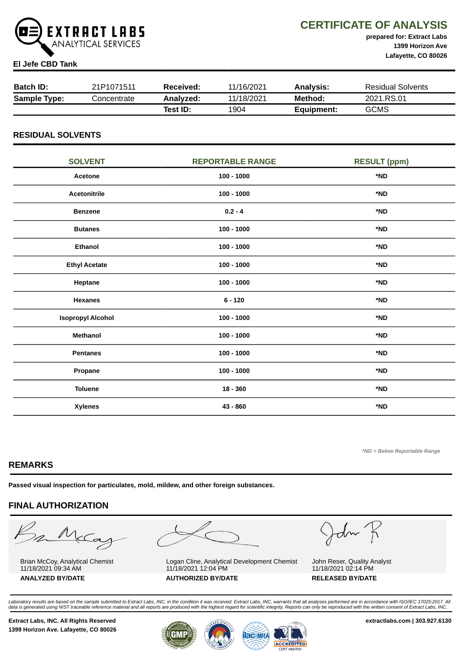

# CERTIFICATE OF ANALYSIS

prepared for: Extract Labs 1399 Horizon Ave Lafayette, CO 80026

## El Jefe CBD Tank

| <b>Batch ID:</b>    | 21P1071511  | Received: | 11/16/2021 | <b>Analysis:</b> | <b>Residual Solvents</b> |
|---------------------|-------------|-----------|------------|------------------|--------------------------|
| <b>Sample Type:</b> | Concentrate | Analyzed: | 11/18/2021 | Method:          | 2021.RS.01               |
|                     |             | Test ID:  | 1904       | Equipment:       | <b>GCMS</b>              |

## RESIDUAL SOLVENTS

| <b>SOLVENT</b>           | <b>REPORTABLE RANGE</b> | <b>RESULT (ppm)</b> |
|--------------------------|-------------------------|---------------------|
| Acetone                  | $100 - 1000$            | *ND                 |
| <b>Acetonitrile</b>      | $100 - 1000$            | *ND                 |
| <b>Benzene</b>           | $0.2 - 4$               | *ND                 |
| <b>Butanes</b>           | $100 - 1000$            | *ND                 |
| <b>Ethanol</b>           | $100 - 1000$            | *ND                 |
| <b>Ethyl Acetate</b>     | $100 - 1000$            | *ND                 |
| Heptane                  | $100 - 1000$            | *ND                 |
| <b>Hexanes</b>           | $6 - 120$               | *ND                 |
| <b>Isopropyl Alcohol</b> | $100 - 1000$            | *ND                 |
| <b>Methanol</b>          | $100 - 1000$            | *ND                 |
| <b>Pentanes</b>          | $100 - 1000$            | *ND                 |
| Propane                  | $100 - 1000$            | *ND                 |
| <b>Toluene</b>           | $18 - 360$              | *ND                 |
| <b>Xylenes</b>           | 43 - 860                | *ND                 |

\*ND = Below Reportable Range

# REMARKS

Passed visual inspection for particulates, mold, mildew, and other foreign substances.

# FINAL AUTHORIZATION

m McCa

Brian McCoy, Analytical Chemist 11/18/2021 09:34 AM



Logan Cline, Analytical Development Chemist 11/18/2021 12:04 PM ANALYZED BY/DATE AUTHORIZED BY/DATE RELEASED BY/DATE

John K

John Reser, Quality Analyst 11/18/2021 02:14 PM

Laboratory results are based on the sample submitted to Extract Labs, INC, in the condition it was received. Extract Labs, INC, warrants that all analyses performed are in accordance with ISO/IEC 17025:2017. All<br>data is ge

Extract Labs, INC. All Rights Reserved **Extract Labs, INC. All Rights Reserved** extractlabs.com | 303.927.6130 1399 Horizon Ave. Lafayette, CO 80026